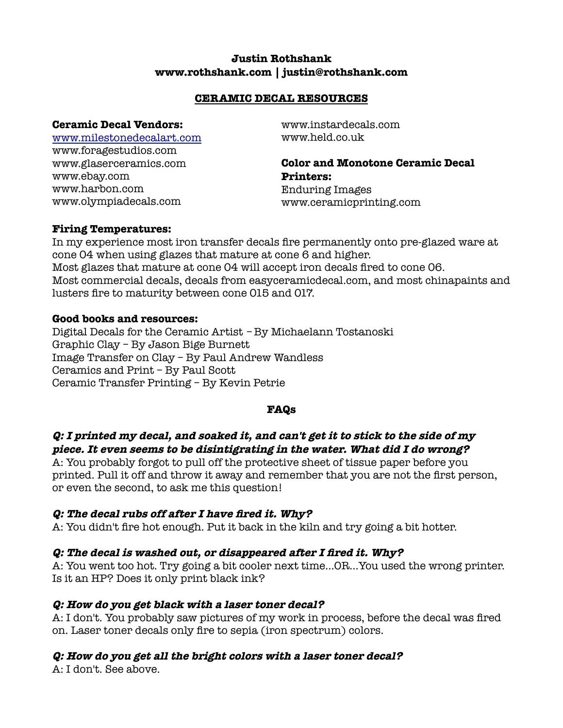## **Justin Rothshank www.rothshank.com | justin@rothshank.com**

## **CERAMIC DECAL RESOURCES**

#### **Ceramic Decal Vendors:**

www.milestonedecalart.com www.foragestudios.com www.glaserceramics.com www.ebay.com www.harbon.com www.olympiadecals.com

www.instardecals.com www.held.co.uk

**Color and Monotone Ceramic Decal Printers:** Enduring Images www.ceramicprinting.com

### **Firing Temperatures:**

In my experience most iron transfer decals fire permanently onto pre-glazed ware at cone 04 when using glazes that mature at cone 6 and higher. Most glazes that mature at cone 04 will accept iron decals fired to cone 06. Most commercial decals, decals from easyceramicdecal.com, and most chinapaints and lusters fire to maturity between cone 015 and 017.

### **Good books and resources:**

Digital Decals for the Ceramic Artist – By Michaelann Tostanoski Graphic Clay – By Jason Bige Burnett Image Transfer on Clay – By Paul Andrew Wandless Ceramics and Print – By Paul Scott Ceramic Transfer Printing – By Kevin Petrie

### **FAQs**

# **Q: I printed my decal, and soaked it, and can't get it to stick to the side of my piece. It even seems to be disintigrating in the water. What did I do wrong?**

A: You probably forgot to pull off the protective sheet of tissue paper before you printed. Pull it off and throw it away and remember that you are not the first person, or even the second, to ask me this question!

# **Q: The decal rubs off after I have fired it. Why?**

A: You didn't fire hot enough. Put it back in the kiln and try going a bit hotter.

# **Q: The decal is washed out, or disappeared after I fired it. Why?**

A: You went too hot. Try going a bit cooler next time...OR...You used the wrong printer. Is it an HP? Does it only print black ink?

# **Q: How do you get black with a laser toner decal?**

A: I don't. You probably saw pictures of my work in process, before the decal was fired on. Laser toner decals only fire to sepia (iron spectrum) colors.

# **Q: How do you get all the bright colors with a laser toner decal?**

A: I don't. See above.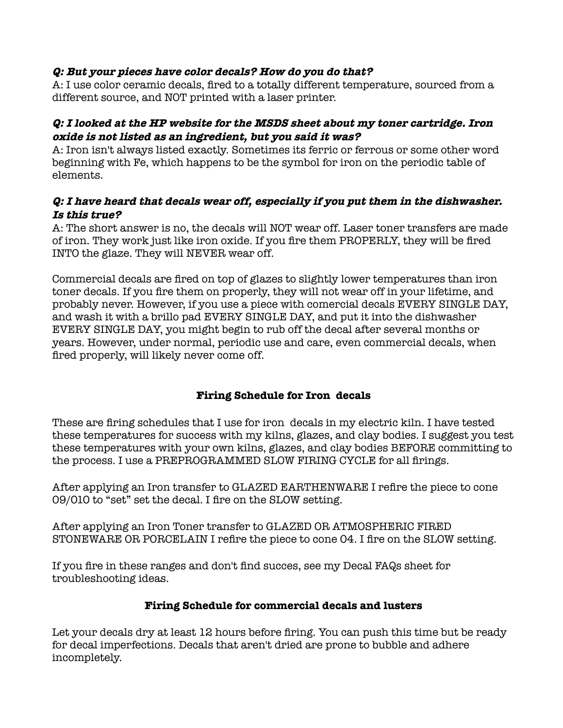## **Q: But your pieces have color decals? How do you do that?**

A: I use color ceramic decals, fired to a totally different temperature, sourced from a different source, and NOT printed with a laser printer.

## **Q: I looked at the HP website for the MSDS sheet about my toner cartridge. Iron oxide is not listed as an ingredient, but you said it was?**

A: Iron isn't always listed exactly. Sometimes its ferric or ferrous or some other word beginning with Fe, which happens to be the symbol for iron on the periodic table of elements.

## **Q: I have heard that decals wear off, especially if you put them in the dishwasher. Is this true?**

A: The short answer is no, the decals will NOT wear off. Laser toner transfers are made of iron. They work just like iron oxide. If you fire them PROPERLY, they will be fired INTO the glaze. They will NEVER wear off.

Commercial decals are fired on top of glazes to slightly lower temperatures than iron toner decals. If you fire them on properly, they will not wear off in your lifetime, and probably never. However, if you use a piece with comercial decals EVERY SINGLE DAY, and wash it with a brillo pad EVERY SINGLE DAY, and put it into the dishwasher EVERY SINGLE DAY, you might begin to rub off the decal after several months or years. However, under normal, periodic use and care, even commercial decals, when fired properly, will likely never come off.

# **Firing Schedule for Iron decals**

These are firing schedules that I use for iron decals in my electric kiln. I have tested these temperatures for success with my kilns, glazes, and clay bodies. I suggest you test these temperatures with your own kilns, glazes, and clay bodies BEFORE committing to the process. I use a PREPROGRAMMED SLOW FIRING CYCLE for all firings.

After applying an Iron transfer to GLAZED EARTHENWARE I refire the piece to cone 09/010 to "set" set the decal. I fire on the SLOW setting.

After applying an Iron Toner transfer to GLAZED OR ATMOSPHERIC FIRED STONEWARE OR PORCELAIN I refire the piece to cone 04. I fire on the SLOW setting.

If you fire in these ranges and don't find succes, see my Decal FAQs sheet for troubleshooting ideas.

# **Firing Schedule for commercial decals and lusters**

Let your decals dry at least 12 hours before firing. You can push this time but be ready for decal imperfections. Decals that aren't dried are prone to bubble and adhere incompletely.